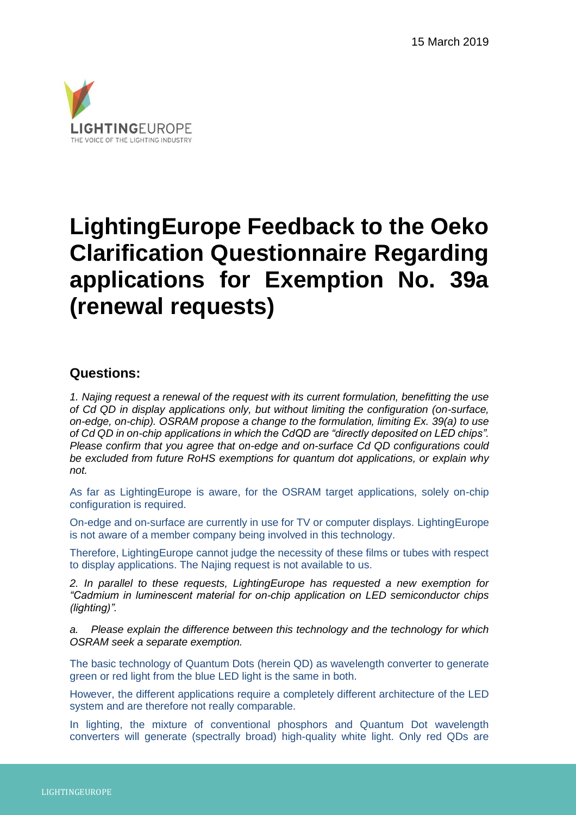

# **LightingEurope Feedback to the Oeko Clarification Questionnaire Regarding applications for Exemption No. 39a (renewal requests)**

### **Questions:**

*1. Najing request a renewal of the request with its current formulation, benefitting the use of Cd QD in display applications only, but without limiting the configuration (on-surface, on-edge, on-chip). OSRAM propose a change to the formulation, limiting Ex. 39(a) to use of Cd QD in on-chip applications in which the CdQD are "directly deposited on LED chips". Please confirm that you agree that on-edge and on-surface Cd QD configurations could be excluded from future RoHS exemptions for quantum dot applications, or explain why not.* 

As far as LightingEurope is aware, for the OSRAM target applications, solely on-chip configuration is required.

On-edge and on-surface are currently in use for TV or computer displays. LightingEurope is not aware of a member company being involved in this technology.

Therefore, LightingEurope cannot judge the necessity of these films or tubes with respect to display applications. The Najing request is not available to us.

*2. In parallel to these requests, LightingEurope has requested a new exemption for "Cadmium in luminescent material for on-chip application on LED semiconductor chips (lighting)".* 

*a. Please explain the difference between this technology and the technology for which OSRAM seek a separate exemption.* 

The basic technology of Quantum Dots (herein QD) as wavelength converter to generate green or red light from the blue LED light is the same in both.

However, the different applications require a completely different architecture of the LED system and are therefore not really comparable.

In lighting, the mixture of conventional phosphors and Quantum Dot wavelength converters will generate (spectrally broad) high-quality white light. Only red QDs are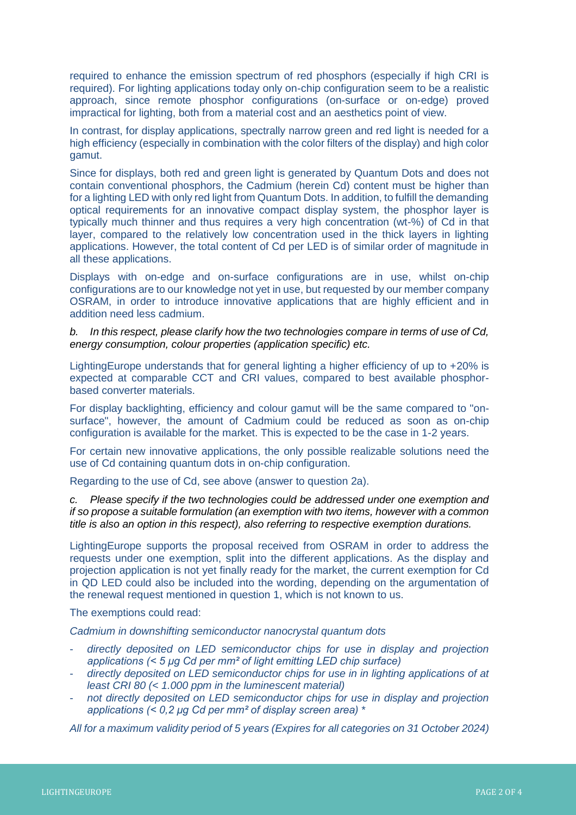required to enhance the emission spectrum of red phosphors (especially if high CRI is required). For lighting applications today only on-chip configuration seem to be a realistic approach, since remote phosphor configurations (on-surface or on-edge) proved impractical for lighting, both from a material cost and an aesthetics point of view.

In contrast, for display applications, spectrally narrow green and red light is needed for a high efficiency (especially in combination with the color filters of the display) and high color gamut.

Since for displays, both red and green light is generated by Quantum Dots and does not contain conventional phosphors, the Cadmium (herein Cd) content must be higher than for a lighting LED with only red light from Quantum Dots. In addition, to fulfill the demanding optical requirements for an innovative compact display system, the phosphor layer is typically much thinner and thus requires a very high concentration (wt-%) of Cd in that layer, compared to the relatively low concentration used in the thick layers in lighting applications. However, the total content of Cd per LED is of similar order of magnitude in all these applications.

Displays with on-edge and on-surface configurations are in use, whilst on-chip configurations are to our knowledge not yet in use, but requested by our member company OSRAM, in order to introduce innovative applications that are highly efficient and in addition need less cadmium.

*b. In this respect, please clarify how the two technologies compare in terms of use of Cd, energy consumption, colour properties (application specific) etc.* 

LightingEurope understands that for general lighting a higher efficiency of up to +20% is expected at comparable CCT and CRI values, compared to best available phosphorbased converter materials.

For display backlighting, efficiency and colour gamut will be the same compared to "onsurface", however, the amount of Cadmium could be reduced as soon as on-chip configuration is available for the market. This is expected to be the case in 1-2 years.

For certain new innovative applications, the only possible realizable solutions need the use of Cd containing quantum dots in on-chip configuration.

Regarding to the use of Cd, see above (answer to question 2a).

*c. Please specify if the two technologies could be addressed under one exemption and if so propose a suitable formulation (an exemption with two items, however with a common title is also an option in this respect), also referring to respective exemption durations.*

LightingEurope supports the proposal received from OSRAM in order to address the requests under one exemption, split into the different applications. As the display and projection application is not yet finally ready for the market, the current exemption for Cd in QD LED could also be included into the wording, depending on the argumentation of the renewal request mentioned in question 1, which is not known to us.

The exemptions could read:

*Cadmium in downshifting semiconductor nanocrystal quantum dots*

- *directly deposited on LED semiconductor chips for use in display and projection applications (< 5 μg Cd per mm² of light emitting LED chip surface)*
- *directly deposited on LED semiconductor chips for use in in lighting applications of at least CRI 80 (< 1.000 ppm in the luminescent material)*
- *not directly deposited on LED semiconductor chips for use in display and projection applications (< 0,2 μg Cd per mm² of display screen area)* \*

*All for a maximum validity period of 5 years (Expires for all categories on 31 October 2024)*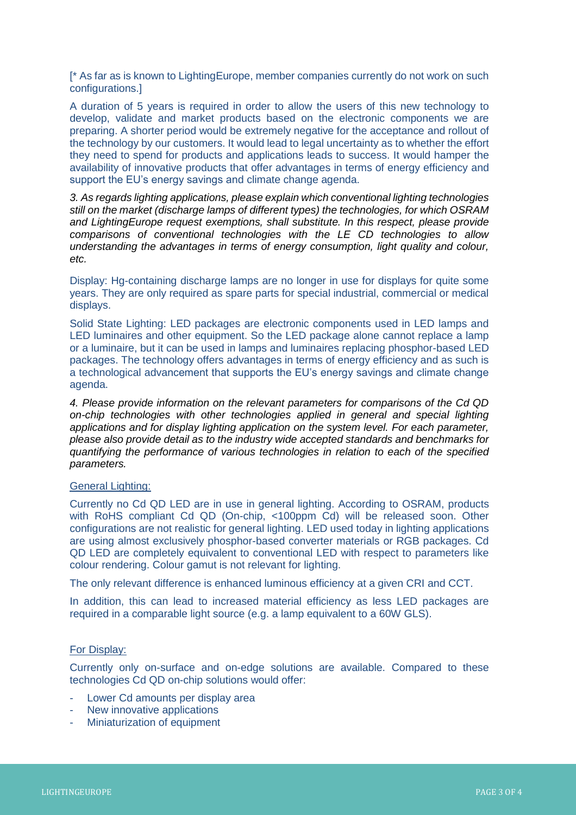[\* As far as is known to LightingEurope, member companies currently do not work on such configurations.]

A duration of 5 years is required in order to allow the users of this new technology to develop, validate and market products based on the electronic components we are preparing. A shorter period would be extremely negative for the acceptance and rollout of the technology by our customers. It would lead to legal uncertainty as to whether the effort they need to spend for products and applications leads to success. It would hamper the availability of innovative products that offer advantages in terms of energy efficiency and support the EU's energy savings and climate change agenda.

*3. As regards lighting applications, please explain which conventional lighting technologies still on the market (discharge lamps of different types) the technologies, for which OSRAM and LightingEurope request exemptions, shall substitute. In this respect, please provide comparisons of conventional technologies with the LE CD technologies to allow understanding the advantages in terms of energy consumption, light quality and colour, etc.*

Display: Hg-containing discharge lamps are no longer in use for displays for quite some years. They are only required as spare parts for special industrial, commercial or medical displays.

Solid State Lighting: LED packages are electronic components used in LED lamps and LED luminaires and other equipment. So the LED package alone cannot replace a lamp or a luminaire, but it can be used in lamps and luminaires replacing phosphor-based LED packages. The technology offers advantages in terms of energy efficiency and as such is a technological advancement that supports the EU's energy savings and climate change agenda.

*4. Please provide information on the relevant parameters for comparisons of the Cd QD on-chip technologies with other technologies applied in general and special lighting applications and for display lighting application on the system level. For each parameter, please also provide detail as to the industry wide accepted standards and benchmarks for quantifying the performance of various technologies in relation to each of the specified parameters.*

#### General Lighting:

Currently no Cd QD LED are in use in general lighting. According to OSRAM, products with RoHS compliant Cd QD (On-chip, <100ppm Cd) will be released soon. Other configurations are not realistic for general lighting. LED used today in lighting applications are using almost exclusively phosphor-based converter materials or RGB packages. Cd QD LED are completely equivalent to conventional LED with respect to parameters like colour rendering. Colour gamut is not relevant for lighting.

The only relevant difference is enhanced luminous efficiency at a given CRI and CCT.

In addition, this can lead to increased material efficiency as less LED packages are required in a comparable light source (e.g. a lamp equivalent to a 60W GLS).

#### For Display:

Currently only on-surface and on-edge solutions are available. Compared to these technologies Cd QD on-chip solutions would offer:

- Lower Cd amounts per display area
- New innovative applications
- Miniaturization of equipment